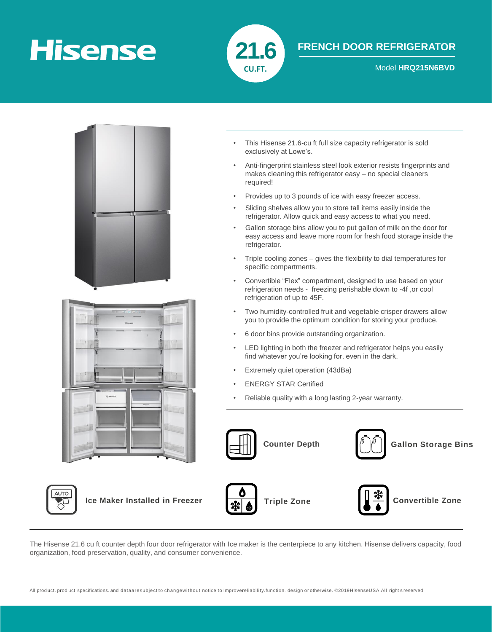# **Hisense**



### **FRENCH DOOR REFRIGERATOR**

**CU.FT.** Model **HRQ215N6BVD** 



- This Hisense 21.6-cu ft full size capacity refrigerator is sold exclusively at Lowe's.
- Anti-fingerprint stainless steel look exterior resists fingerprints and makes cleaning this refrigerator easy – no special cleaners required!
- Provides up to 3 pounds of ice with easy freezer access.
- Sliding shelves allow you to store tall items easily inside the refrigerator. Allow quick and easy access to what you need.
- Gallon storage bins allow you to put gallon of milk on the door for easy access and leave more room for fresh food storage inside the refrigerator.
- Triple cooling zones gives the flexibility to dial temperatures for specific compartments.
- Convertible "Flex" compartment, designed to use based on your refrigeration needs - freezing perishable down to -4f ,or cool refrigeration of up to 45F.
- Two humidity-controlled fruit and vegetable crisper drawers allow you to provide the optimum condition for storing your produce.
- 6 door bins provide outstanding organization.
- LED lighting in both the freezer and refrigerator helps you easily find whatever you're looking for, even in the dark.
- Extremely quiet operation (43dBa)
- ENERGY STAR Certified
- Reliable quality with a long lasting 2-year warranty.





**ICE Maker Installed in Freezer Triple Zone Triple Zone Convertible Zone** 





The Hisense 21.6 cu ft counter depth four door refrigerator with Ice maker is the centerpiece to any kitchen. Hisense delivers capacity, food organization, food preservation, quality, and consumer convenience.